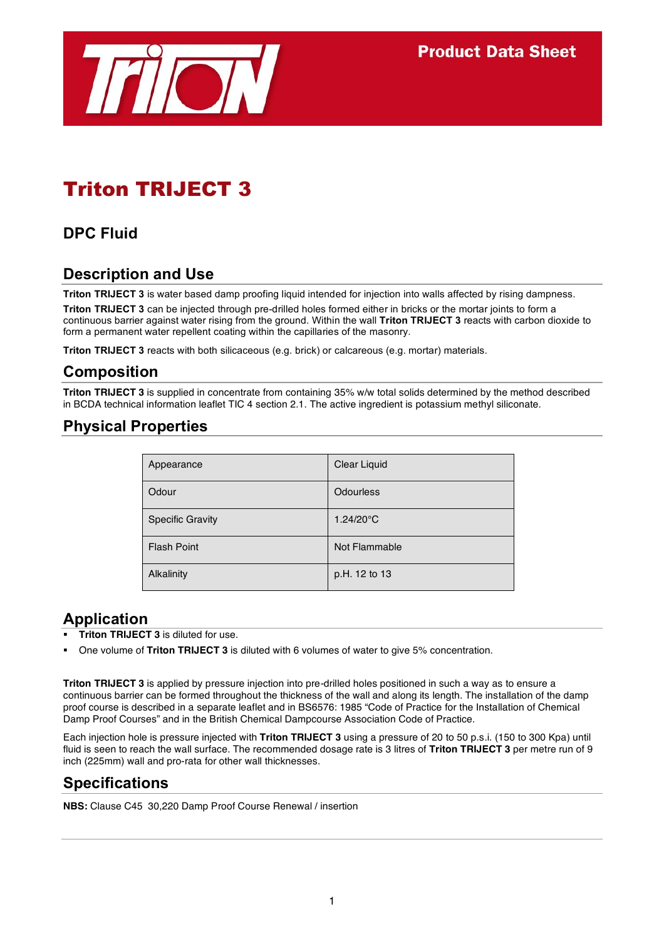

# Triton TRIJECT 3

## **DPC Fluid**

## **Description and Use**

**Triton TRIJECT 3** is water based damp proofing liquid intended for injection into walls affected by rising dampness.

**Triton TRIJECT 3** can be injected through pre-drilled holes formed either in bricks or the mortar joints to form a continuous barrier against water rising from the ground. Within the wall **Triton TRIJECT 3** reacts with carbon dioxide to form a permanent water repellent coating within the capillaries of the masonry.

**Triton TRIJECT 3** reacts with both silicaceous (e.g. brick) or calcareous (e.g. mortar) materials.

### **Composition**

**Triton TRIJECT 3** is supplied in concentrate from containing 35% w/w total solids determined by the method described in BCDA technical information leaflet TIC 4 section 2.1. The active ingredient is potassium methyl siliconate.

### **Physical Properties**

| Appearance              | Clear Liquid        |
|-------------------------|---------------------|
| Odour                   | <b>Odourless</b>    |
| <b>Specific Gravity</b> | $1.24/20^{\circ}$ C |
| <b>Flash Point</b>      | Not Flammable       |
| Alkalinity              | p.H. 12 to 13       |

### **Application**

- **Triton TRIJECT 3** is diluted for use.
- One volume of **Triton TRIJECT 3** is diluted with 6 volumes of water to give 5% concentration.

**Triton TRIJECT 3** is applied by pressure injection into pre-drilled holes positioned in such a way as to ensure a continuous barrier can be formed throughout the thickness of the wall and along its length. The installation of the damp proof course is described in a separate leaflet and in BS6576: 1985 "Code of Practice for the Installation of Chemical Damp Proof Courses" and in the British Chemical Dampcourse Association Code of Practice.

Each injection hole is pressure injected with **Triton TRIJECT 3** using a pressure of 20 to 50 p.s.i. (150 to 300 Kpa) until fluid is seen to reach the wall surface. The recommended dosage rate is 3 litres of **Triton TRIJECT 3** per metre run of 9 inch (225mm) wall and pro-rata for other wall thicknesses.

#### **Specifications**

**NBS:** Clause C45 30,220 Damp Proof Course Renewal / insertion